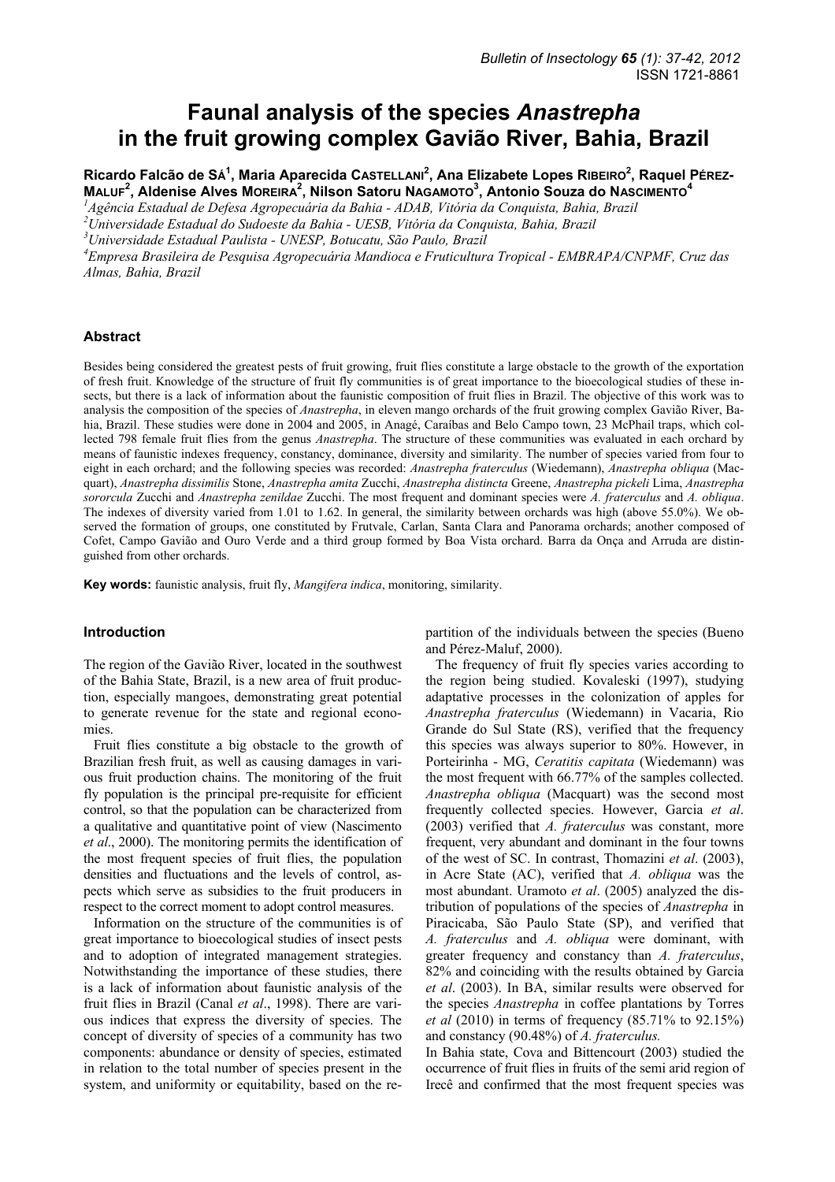# **Faunal analysis of the species** *Anastrepha* **in the fruit growing complex Gavião River, Bahia, Brazil**

Ricardo Falcão de SÁ<sup>1</sup>, Maria Aparecida CasteLLani<sup>2</sup>, Ana Elizabete Lopes Rıbeıro<sup>2</sup>, Raquel Pérez-**MALUF<sup>2</sup>, Aldenise Alves MOREIRA<sup>2</sup>, Nilson Satoru NAGAMOTO<sup>3</sup>, Antonio Souza do NASCIMENTO<sup>4</sup>** 

*1 Agência Estadual de Defesa Agropecuária da Bahia - ADAB, Vitória da Conquista, Bahia, Brazil* 

*2 Universidade Estadual do Sudoeste da Bahia - UESB, Vitória da Conquista, Bahia, Brazil* 

*3 Universidade Estadual Paulista - UNESP, Botucatu, São Paulo, Brazil* 

*4 Empresa Brasileira de Pesquisa Agropecuária Mandioca e Fruticultura Tropical - EMBRAPA/CNPMF, Cruz das Almas, Bahia, Brazil* 

## **Abstract**

Besides being considered the greatest pests of fruit growing, fruit flies constitute a large obstacle to the growth of the exportation of fresh fruit. Knowledge of the structure of fruit fly communities is of great importance to the bioecological studies of these insects, but there is a lack of information about the faunistic composition of fruit flies in Brazil. The objective of this work was to analysis the composition of the species of *Anastrepha*, in eleven mango orchards of the fruit growing complex Gavião River, Bahia, Brazil. These studies were done in 2004 and 2005, in Anagé, Caraíbas and Belo Campo town, 23 McPhail traps, which collected 798 female fruit flies from the genus *Anastrepha*. The structure of these communities was evaluated in each orchard by means of faunistic indexes frequency, constancy, dominance, diversity and similarity. The number of species varied from four to eight in each orchard; and the following species was recorded: *Anastrepha fraterculus* (Wiedemann), *Anastrepha obliqua* (Macquart), *Anastrepha dissimilis* Stone, *Anastrepha amita* Zucchi, *Anastrepha distincta* Greene, *Anastrepha pickeli* Lima, *Anastrepha sororcula* Zucchi and *Anastrepha zenildae* Zucchi. The most frequent and dominant species were *A. fraterculus* and *A. obliqua*. The indexes of diversity varied from 1.01 to 1.62. In general, the similarity between orchards was high (above 55.0%). We observed the formation of groups, one constituted by Frutvale, Carlan, Santa Clara and Panorama orchards; another composed of Cofet, Campo Gavião and Ouro Verde and a third group formed by Boa Vista orchard. Barra da Onça and Arruda are distinguished from other orchards.

**Key words:** faunistic analysis, fruit fly, *Mangifera indica*, monitoring, similarity.

#### **Introduction**

The region of the Gavião River, located in the southwest of the Bahia State, Brazil, is a new area of fruit production, especially mangoes, demonstrating great potential to generate revenue for the state and regional economies.

Fruit flies constitute a big obstacle to the growth of Brazilian fresh fruit, as well as causing damages in various fruit production chains. The monitoring of the fruit fly population is the principal pre-requisite for efficient control, so that the population can be characterized from a qualitative and quantitative point of view (Nascimento *et al*., 2000). The monitoring permits the identification of the most frequent species of fruit flies, the population densities and fluctuations and the levels of control, aspects which serve as subsidies to the fruit producers in respect to the correct moment to adopt control measures.

Information on the structure of the communities is of great importance to bioecological studies of insect pests and to adoption of integrated management strategies. Notwithstanding the importance of these studies, there is a lack of information about faunistic analysis of the fruit flies in Brazil (Canal *et al*., 1998). There are various indices that express the diversity of species. The concept of diversity of species of a community has two components: abundance or density of species, estimated in relation to the total number of species present in the system, and uniformity or equitability, based on the repartition of the individuals between the species (Bueno and Pérez-Maluf, 2000).

The frequency of fruit fly species varies according to the region being studied. Kovaleski (1997), studying adaptative processes in the colonization of apples for *Anastrepha fraterculus* (Wiedemann) in Vacaria, Rio Grande do Sul State (RS), verified that the frequency this species was always superior to 80%. However, in Porteirinha - MG, *Ceratitis capitata* (Wiedemann) was the most frequent with 66.77% of the samples collected. *Anastrepha obliqua* (Macquart) was the second most frequently collected species. However, Garcia *et al*. (2003) verified that *A. fraterculus* was constant, more frequent, very abundant and dominant in the four towns of the west of SC. In contrast, Thomazini *et al*. (2003), in Acre State (AC), verified that *A. obliqua* was the most abundant. Uramoto *et al*. (2005) analyzed the distribution of populations of the species of *Anastrepha* in Piracicaba, São Paulo State (SP), and verified that *A. fraterculus* and *A. obliqua* were dominant, with greater frequency and constancy than *A. fraterculus*, 82% and coinciding with the results obtained by Garcia *et al*. (2003). In BA, similar results were observed for the species *Anastrepha* in coffee plantations by Torres *et al* (2010) in terms of frequency (85.71% to 92.15%) and constancy (90.48%) of *A. fraterculus.*

In Bahia state, Cova and Bittencourt (2003) studied the occurrence of fruit flies in fruits of the semi arid region of Irecê and confirmed that the most frequent species was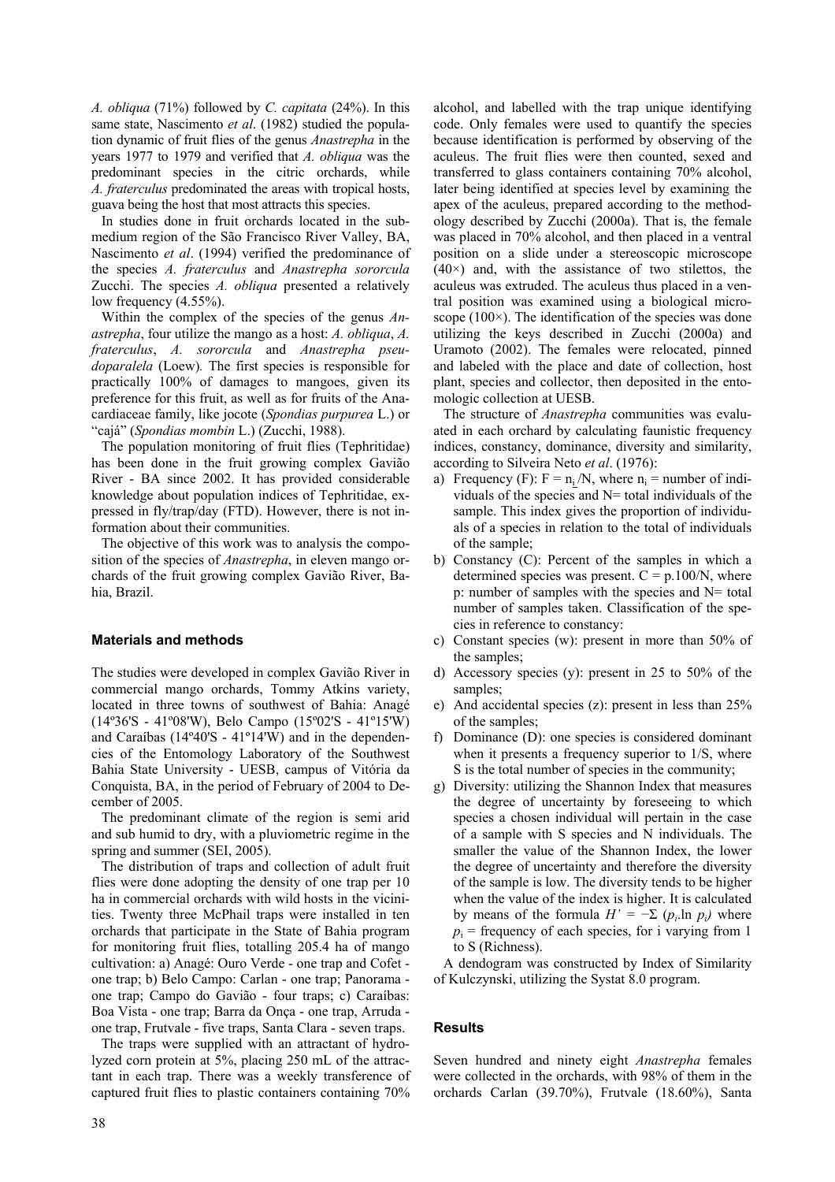*A. obliqua* (71%) followed by *C. capitata* (24%). In this same state, Nascimento *et al*. (1982) studied the population dynamic of fruit flies of the genus *Anastrepha* in the years 1977 to 1979 and verified that *A. obliqua* was the predominant species in the citric orchards, while *A. fraterculus* predominated the areas with tropical hosts, guava being the host that most attracts this species.

In studies done in fruit orchards located in the submedium region of the São Francisco River Valley, BA, Nascimento *et al*. (1994) verified the predominance of the species *A. fraterculus* and *Anastrepha sororcula* Zucchi. The species *A. obliqua* presented a relatively low frequency (4.55%).

Within the complex of the species of the genus *Anastrepha*, four utilize the mango as a host: *A. obliqua*, *A. fraterculus*, *A. sororcula* and *Anastrepha pseudoparalela* (Loew)*.* The first species is responsible for practically 100% of damages to mangoes, given its preference for this fruit, as well as for fruits of the Anacardiaceae family, like jocote (*Spondias purpurea* L.) or "cajá" (*Spondias mombin* L.) (Zucchi, 1988).

The population monitoring of fruit flies (Tephritidae) has been done in the fruit growing complex Gavião River - BA since 2002. It has provided considerable knowledge about population indices of Tephritidae, expressed in fly/trap/day (FTD). However, there is not information about their communities.

The objective of this work was to analysis the composition of the species of *Anastrepha*, in eleven mango orchards of the fruit growing complex Gavião River, Bahia, Brazil.

# **Materials and methods**

The studies were developed in complex Gavião River in commercial mango orchards, Tommy Atkins variety, located in three towns of southwest of Bahia: Anagé (14º36'S - 41º08'W), Belo Campo (15º02'S - 41º15'W) and Caraíbas (14º40'S - 41º14'W) and in the dependencies of the Entomology Laboratory of the Southwest Bahia State University - UESB, campus of Vitória da Conquista, BA, in the period of February of 2004 to December of 2005.

The predominant climate of the region is semi arid and sub humid to dry, with a pluviometric regime in the spring and summer (SEI, 2005).

The distribution of traps and collection of adult fruit flies were done adopting the density of one trap per 10 ha in commercial orchards with wild hosts in the vicinities. Twenty three McPhail traps were installed in ten orchards that participate in the State of Bahia program for monitoring fruit flies, totalling 205.4 ha of mango cultivation: a) Anagé: Ouro Verde - one trap and Cofet one trap; b) Belo Campo: Carlan - one trap; Panorama one trap; Campo do Gavião - four traps; c) Caraíbas: Boa Vista - one trap; Barra da Onça - one trap, Arruda one trap, Frutvale - five traps, Santa Clara - seven traps.

The traps were supplied with an attractant of hydrolyzed corn protein at 5%, placing 250 mL of the attractant in each trap. There was a weekly transference of captured fruit flies to plastic containers containing 70% alcohol, and labelled with the trap unique identifying code. Only females were used to quantify the species because identification is performed by observing of the aculeus. The fruit flies were then counted, sexed and transferred to glass containers containing 70% alcohol, later being identified at species level by examining the apex of the aculeus, prepared according to the methodology described by Zucchi (2000a). That is, the female was placed in 70% alcohol, and then placed in a ventral position on a slide under a stereoscopic microscope  $(40\times)$  and, with the assistance of two stilettos, the aculeus was extruded. The aculeus thus placed in a ventral position was examined using a biological microscope  $(100\times)$ . The identification of the species was done utilizing the keys described in Zucchi (2000a) and Uramoto (2002). The females were relocated, pinned and labeled with the place and date of collection, host plant, species and collector, then deposited in the entomologic collection at UESB.

The structure of *Anastrepha* communities was evaluated in each orchard by calculating faunistic frequency indices, constancy, dominance, diversity and similarity, according to Silveira Neto *et al*. (1976):

- a) Frequency (F):  $F = n_i/N$ , where  $n_i =$  number of individuals of the species and  $N=$  total individuals of the sample. This index gives the proportion of individuals of a species in relation to the total of individuals of the sample;
- b) Constancy (C): Percent of the samples in which a determined species was present.  $C = p.100/N$ , where p: number of samples with the species and  $N=$  total number of samples taken. Classification of the species in reference to constancy:
- c) Constant species (w): present in more than 50% of the samples;
- d) Accessory species (y): present in 25 to 50% of the samples;
- e) And accidental species (z): present in less than 25% of the samples;
- f) Dominance (D): one species is considered dominant when it presents a frequency superior to 1/S, where S is the total number of species in the community;
- g) Diversity: utilizing the Shannon Index that measures the degree of uncertainty by foreseeing to which species a chosen individual will pertain in the case of a sample with S species and N individuals. The smaller the value of the Shannon Index, the lower the degree of uncertainty and therefore the diversity of the sample is low. The diversity tends to be higher when the value of the index is higher. It is calculated by means of the formula  $H' = -\sum (p_i \ln p_i)$  where  $p_i$  = frequency of each species, for i varying from 1 to S (Richness).

A dendogram was constructed by Index of Similarity of Kulczynski, utilizing the Systat 8.0 program.

# **Results**

Seven hundred and ninety eight *Anastrepha* females were collected in the orchards, with 98% of them in the orchards Carlan (39.70%), Frutvale (18.60%), Santa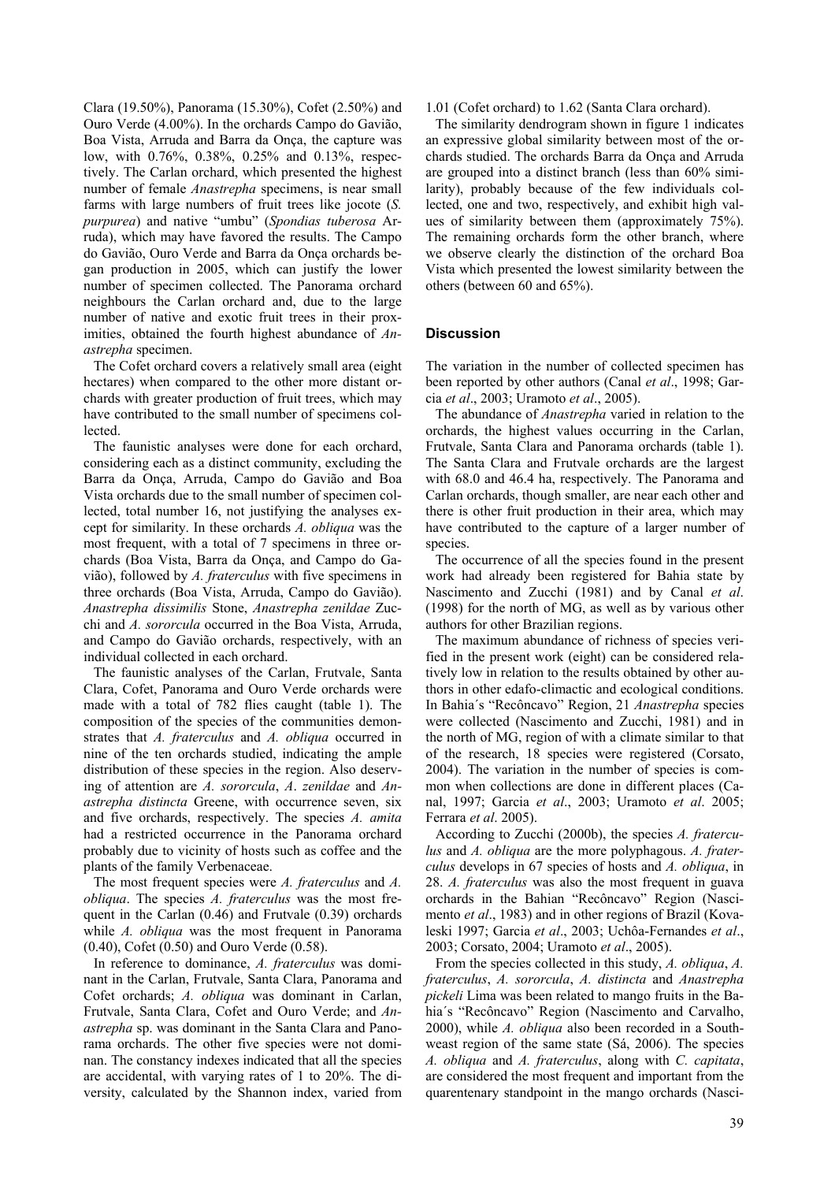Clara (19.50%), Panorama (15.30%), Cofet (2.50%) and Ouro Verde (4.00%). In the orchards Campo do Gavião, Boa Vista, Arruda and Barra da Onça, the capture was low, with 0.76%, 0.38%, 0.25% and 0.13%, respectively. The Carlan orchard, which presented the highest number of female *Anastrepha* specimens, is near small farms with large numbers of fruit trees like jocote (*S. purpurea*) and native "umbu" (*Spondias tuberosa* Arruda), which may have favored the results. The Campo do Gavião, Ouro Verde and Barra da Onça orchards began production in 2005, which can justify the lower number of specimen collected. The Panorama orchard neighbours the Carlan orchard and, due to the large number of native and exotic fruit trees in their proximities, obtained the fourth highest abundance of *Anastrepha* specimen.

The Cofet orchard covers a relatively small area (eight hectares) when compared to the other more distant orchards with greater production of fruit trees, which may have contributed to the small number of specimens collected.

The faunistic analyses were done for each orchard, considering each as a distinct community, excluding the Barra da Onça, Arruda, Campo do Gavião and Boa Vista orchards due to the small number of specimen collected, total number 16, not justifying the analyses except for similarity. In these orchards *A. obliqua* was the most frequent, with a total of 7 specimens in three orchards (Boa Vista, Barra da Onça, and Campo do Gavião), followed by *A. fraterculus* with five specimens in three orchards (Boa Vista, Arruda, Campo do Gavião). *Anastrepha dissimilis* Stone, *Anastrepha zenildae* Zucchi and *A. sororcula* occurred in the Boa Vista, Arruda, and Campo do Gavião orchards, respectively, with an individual collected in each orchard.

The faunistic analyses of the Carlan, Frutvale, Santa Clara, Cofet, Panorama and Ouro Verde orchards were made with a total of 782 flies caught (table 1). The composition of the species of the communities demonstrates that *A. fraterculus* and *A. obliqua* occurred in nine of the ten orchards studied, indicating the ample distribution of these species in the region. Also deserving of attention are *A. sororcula*, *A*. *zenildae* and *Anastrepha distincta* Greene, with occurrence seven, six and five orchards, respectively. The species *A. amita* had a restricted occurrence in the Panorama orchard probably due to vicinity of hosts such as coffee and the plants of the family Verbenaceae.

The most frequent species were *A. fraterculus* and *A. obliqua*. The species *A. fraterculus* was the most frequent in the Carlan (0.46) and Frutvale (0.39) orchards while *A. obliqua* was the most frequent in Panorama (0.40), Cofet (0.50) and Ouro Verde (0.58).

In reference to dominance, *A. fraterculus* was dominant in the Carlan, Frutvale, Santa Clara, Panorama and Cofet orchards; *A. obliqua* was dominant in Carlan, Frutvale, Santa Clara, Cofet and Ouro Verde; and *Anastrepha* sp. was dominant in the Santa Clara and Panorama orchards. The other five species were not dominan. The constancy indexes indicated that all the species are accidental, with varying rates of 1 to 20%. The diversity, calculated by the Shannon index, varied from 1.01 (Cofet orchard) to 1.62 (Santa Clara orchard).

The similarity dendrogram shown in figure 1 indicates an expressive global similarity between most of the orchards studied. The orchards Barra da Onça and Arruda are grouped into a distinct branch (less than 60% similarity), probably because of the few individuals collected, one and two, respectively, and exhibit high values of similarity between them (approximately 75%). The remaining orchards form the other branch, where we observe clearly the distinction of the orchard Boa Vista which presented the lowest similarity between the others (between 60 and 65%).

### **Discussion**

The variation in the number of collected specimen has been reported by other authors (Canal *et al*., 1998; Garcia *et al*., 2003; Uramoto *et al*., 2005).

The abundance of *Anastrepha* varied in relation to the orchards, the highest values occurring in the Carlan, Frutvale, Santa Clara and Panorama orchards (table 1). The Santa Clara and Frutvale orchards are the largest with 68.0 and 46.4 ha, respectively. The Panorama and Carlan orchards, though smaller, are near each other and there is other fruit production in their area, which may have contributed to the capture of a larger number of species.

The occurrence of all the species found in the present work had already been registered for Bahia state by Nascimento and Zucchi (1981) and by Canal *et al*. (1998) for the north of MG, as well as by various other authors for other Brazilian regions.

The maximum abundance of richness of species verified in the present work (eight) can be considered relatively low in relation to the results obtained by other authors in other edafo-climactic and ecological conditions. In Bahia´s "Recôncavo" Region, 21 *Anastrepha* species were collected (Nascimento and Zucchi, 1981) and in the north of MG, region of with a climate similar to that of the research, 18 species were registered (Corsato, 2004). The variation in the number of species is common when collections are done in different places (Canal, 1997; Garcia *et al*., 2003; Uramoto *et al*. 2005; Ferrara *et al*. 2005).

According to Zucchi (2000b), the species *A. fraterculus* and *A. obliqua* are the more polyphagous. *A. fraterculus* develops in 67 species of hosts and *A. obliqua*, in 28. *A. fraterculus* was also the most frequent in guava orchards in the Bahian "Recôncavo" Region (Nascimento *et al*., 1983) and in other regions of Brazil (Kovaleski 1997; Garcia *et al*., 2003; Uchôa-Fernandes *et al*., 2003; Corsato, 2004; Uramoto *et al*., 2005).

From the species collected in this study, *A. obliqua*, *A. fraterculus*, *A. sororcula*, *A. distincta* and *Anastrepha pickeli* Lima was been related to mango fruits in the Bahia´s "Recôncavo" Region (Nascimento and Carvalho, 2000), while *A. obliqua* also been recorded in a Southweast region of the same state (Sá, 2006). The species *A. obliqua* and *A. fraterculus*, along with *C. capitata*, are considered the most frequent and important from the quarentenary standpoint in the mango orchards (Nasci-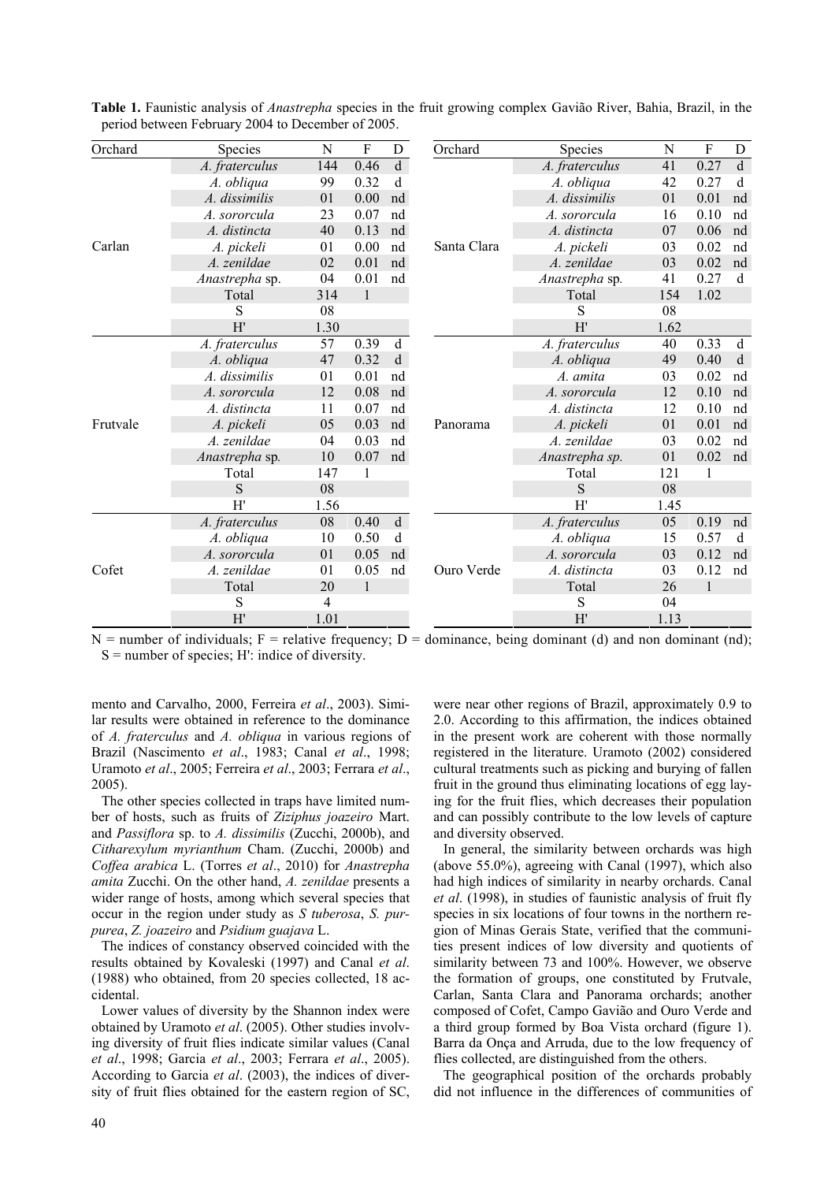| Orchard  | Species        | N    | F            | D           | Orchard     | Species        | N              | F            | D  |
|----------|----------------|------|--------------|-------------|-------------|----------------|----------------|--------------|----|
| Carlan   | A. fraterculus | 144  | 0.46         | $\mathbf d$ | Santa Clara | A. fraterculus | 41             | 0.27         | d  |
|          | A. obliqua     | 99   | 0.32         | d           |             | A. obliqua     | 42             | 0.27         | d  |
|          | A. dissimilis  | 01   | 0.00         | nd          |             | A. dissimilis  | 01             | 0.01         | nd |
|          | A. sororcula   | 23   | 0.07         | nd          |             | A. sororcula   | 16             | 0.10         | nd |
|          | A. distincta   | 40   | 0.13         | nd          |             | A. distincta   | 07             | 0.06         | nd |
|          |                |      |              |             |             |                |                |              |    |
|          | A. pickeli     | 01   | 0.00         | nd          |             | A. pickeli     | 03             | 0.02         | nd |
|          | A. zenildae    | 02   | 0.01         | nd          |             | A. zenildae    | 03             | 0.02         | nd |
|          | Anastrepha sp. | 04   | 0.01         | nd          |             | Anastrepha sp. | 41             | 0.27         | d  |
|          | Total          | 314  | $\mathbf{1}$ |             |             | Total          | 154            | 1.02         |    |
|          | S              | 08   |              |             |             | S              | 08             |              |    |
|          | H'             | 1.30 |              |             |             | H'             | 1.62           |              |    |
| Frutvale | A. fraterculus | 57   | 0.39         | d           | Panorama    | A. fraterculus | 40             | 0.33         | d  |
|          | A. obliqua     | 47   | 0.32         | d           |             | A. obliqua     | 49             | 0.40         | d  |
|          | A. dissimilis  | 01   | 0.01         | nd          |             | A. amita       | 03             | 0.02         | nd |
|          | A. sororcula   | 12   | 0.08         | nd          |             | A. sororcula   | 12             | 0.10         | nd |
|          | A. distincta   | 11   | 0.07         | nd          |             | A. distincta   | 12             | 0.10         | nd |
|          | A. pickeli     | 05   | 0.03         | nd          |             | A. pickeli     | 01             | 0.01         | nd |
|          | A. zenildae    | 04   | 0.03         | nd          |             | A. zenildae    | 03             | 0.02         | nd |
|          | Anastrepha sp. | 10   | 0.07         | nd          |             | Anastrepha sp. | 0 <sub>1</sub> | 0.02         | nd |
|          | Total          | 147  | 1            |             |             | Total          | 121            | 1            |    |
|          | S              | 08   |              |             |             | S              | 08             |              |    |
|          | H'             | 1.56 |              |             |             | H'             | 1.45           |              |    |
| Cofet    | A. fraterculus | 08   | 0.40         | $\mathbf d$ | Ouro Verde  | A. fraterculus | 05             | 0.19         | nd |
|          | A. obliqua     | 10   | 0.50         | d           |             | A. obliqua     | 15             | 0.57         | d  |
|          | A. sororcula   | 01   | 0.05         | nd          |             | A. sororcula   | 03             | 0.12         | nd |
|          | A. zenildae    | 01   | 0.05         | nd          |             | A. distincta   | 03             | 0.12         | nd |
|          | Total          | 20   | $\mathbf{1}$ |             |             | Total          | 26             | $\mathbf{1}$ |    |
|          | S              | 4    |              |             |             | S              | 04             |              |    |
|          | H'             | 1.01 |              |             |             | H'             | 1.13           |              |    |

**Table 1.** Faunistic analysis of *Anastrepha* species in the fruit growing complex Gavião River, Bahia, Brazil, in the period between February 2004 to December of 2005.

 $N =$  number of individuals; F = relative frequency; D = dominance, being dominant (d) and non dominant (nd);  $S =$  number of species; H': indice of diversity.

mento and Carvalho, 2000, Ferreira *et al*., 2003). Similar results were obtained in reference to the dominance of *A. fraterculus* and *A. obliqua* in various regions of Brazil (Nascimento *et al*., 1983; Canal *et al*., 1998; Uramoto *et al*., 2005; Ferreira *et al*., 2003; Ferrara *et al*., 2005).

The other species collected in traps have limited number of hosts, such as fruits of *Ziziphus joazeiro* Mart. and *Passiflora* sp. to *A. dissimilis* (Zucchi, 2000b), and *Citharexylum myrianthum* Cham. (Zucchi, 2000b) and *Coffea arabica* L. (Torres *et al*., 2010) for *Anastrepha amita* Zucchi. On the other hand, *A. zenildae* presents a wider range of hosts, among which several species that occur in the region under study as *S tuberosa*, *S. purpurea*, *Z. joazeiro* and *Psidium guajava* L.

The indices of constancy observed coincided with the results obtained by Kovaleski (1997) and Canal *et al*. (1988) who obtained, from 20 species collected, 18 accidental.

Lower values of diversity by the Shannon index were obtained by Uramoto *et al*. (2005). Other studies involving diversity of fruit flies indicate similar values (Canal *et al*., 1998; Garcia *et al*., 2003; Ferrara *et al*., 2005). According to Garcia *et al*. (2003), the indices of diversity of fruit flies obtained for the eastern region of SC, were near other regions of Brazil, approximately 0.9 to 2.0. According to this affirmation, the indices obtained in the present work are coherent with those normally registered in the literature. Uramoto (2002) considered cultural treatments such as picking and burying of fallen fruit in the ground thus eliminating locations of egg laying for the fruit flies, which decreases their population and can possibly contribute to the low levels of capture and diversity observed.

In general, the similarity between orchards was high (above 55.0%), agreeing with Canal (1997), which also had high indices of similarity in nearby orchards. Canal *et al*. (1998), in studies of faunistic analysis of fruit fly species in six locations of four towns in the northern region of Minas Gerais State, verified that the communities present indices of low diversity and quotients of similarity between 73 and 100%. However, we observe the formation of groups, one constituted by Frutvale, Carlan, Santa Clara and Panorama orchards; another composed of Cofet, Campo Gavião and Ouro Verde and a third group formed by Boa Vista orchard (figure 1). Barra da Onça and Arruda, due to the low frequency of flies collected, are distinguished from the others.

The geographical position of the orchards probably did not influence in the differences of communities of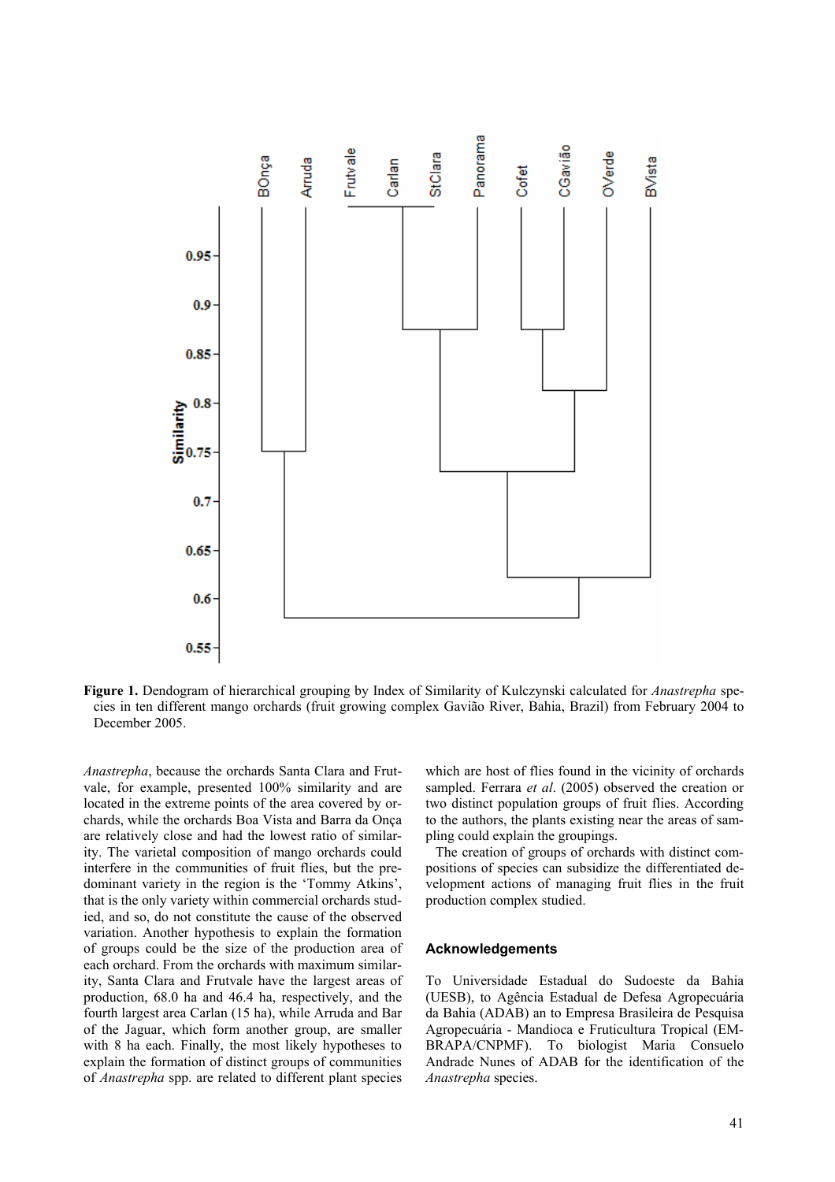

**Figure 1.** Dendogram of hierarchical grouping by Index of Similarity of Kulczynski calculated for *Anastrepha* species in ten different mango orchards (fruit growing complex Gavião River, Bahia, Brazil) from February 2004 to December 2005.

*Anastrepha*, because the orchards Santa Clara and Frutvale, for example, presented 100% similarity and are located in the extreme points of the area covered by orchards, while the orchards Boa Vista and Barra da Onça are relatively close and had the lowest ratio of similarity. The varietal composition of mango orchards could interfere in the communities of fruit flies, but the predominant variety in the region is the 'Tommy Atkins', that is the only variety within commercial orchards studied, and so, do not constitute the cause of the observed variation. Another hypothesis to explain the formation of groups could be the size of the production area of each orchard. From the orchards with maximum similarity, Santa Clara and Frutvale have the largest areas of production, 68.0 ha and 46.4 ha, respectively, and the fourth largest area Carlan (15 ha), while Arruda and Bar of the Jaguar, which form another group, are smaller with 8 ha each. Finally, the most likely hypotheses to explain the formation of distinct groups of communities of *Anastrepha* spp. are related to different plant species

which are host of flies found in the vicinity of orchards sampled. Ferrara *et al*. (2005) observed the creation or two distinct population groups of fruit flies. According to the authors, the plants existing near the areas of sampling could explain the groupings.

The creation of groups of orchards with distinct compositions of species can subsidize the differentiated development actions of managing fruit flies in the fruit production complex studied.

## **Acknowledgements**

To Universidade Estadual do Sudoeste da Bahia (UESB), to Agência Estadual de Defesa Agropecuária da Bahia (ADAB) an to Empresa Brasileira de Pesquisa Agropecuária - Mandioca e Fruticultura Tropical (EM-BRAPA/CNPMF). To biologist Maria Consuelo Andrade Nunes of ADAB for the identification of the *Anastrepha* species.